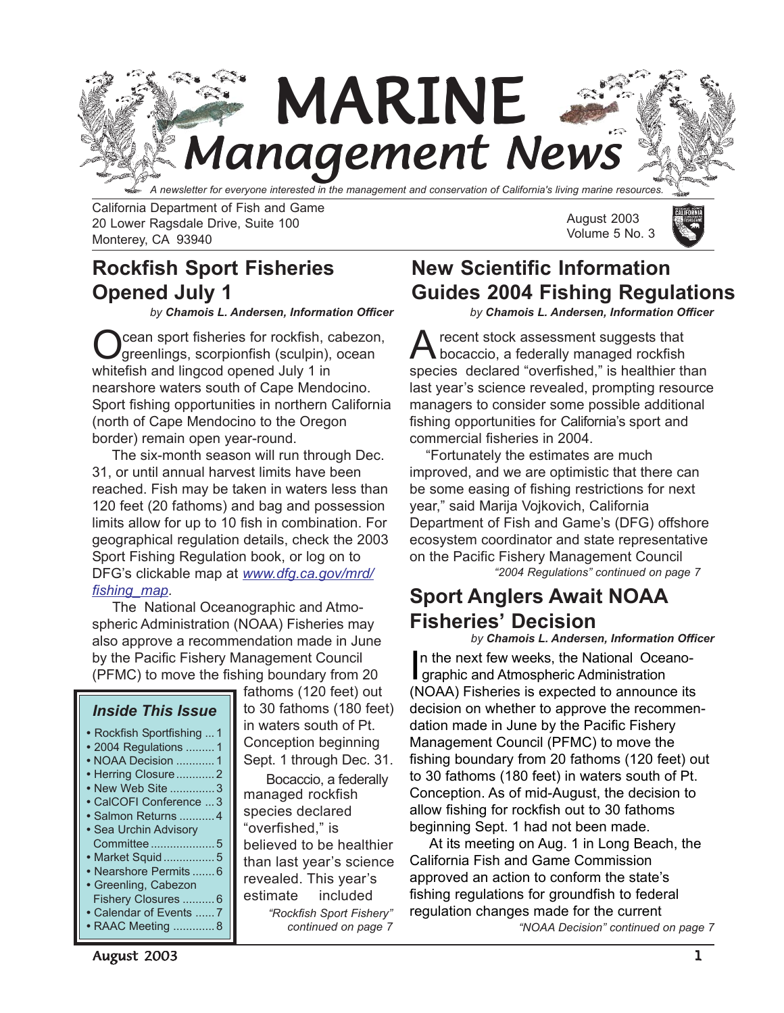

California Department of Fish and Game 20 Lower Ragsdale Drive, Suite 100 Monterey, CA 93940

## **Rockfish Sport Fisheries Opened July 1**

*by Chamois L. Andersen, Information Officer*

cean sport fisheries for rockfish, cabezon, greenlings, scorpionfish (sculpin), ocean whitefish and lingcod opened July 1 in nearshore waters south of Cape Mendocino. Sport fishing opportunities in northern California (north of Cape Mendocino to the Oregon border) remain open year-round.

 The six-month season will run through Dec. 31, or until annual harvest limits have been reached. Fish may be taken in waters less than 120 feet (20 fathoms) and bag and possession limits allow for up to 10 fish in combination. For geographical regulation details, check the 2003 Sport Fishing Regulation book, or log on to DFG's clickable map at *[www.dfg.ca.gov/mrd/](http://www.dfg.ca.gov/mrd/fishing_map.html) [fishing\\_map.](http://at www.dfg.ca.gov/mrd/fishing_map.html)*

 The National Oceanographic and Atmospheric Administration (NOAA) Fisheries may also approve a recommendation made in June by the Pacific Fishery Management Council (PFMC) to move the fishing boundary from 20

#### *Inside This Issue*

**•** Rockfish Sportfishing ... 1 **•** 2004 Regulations ......... 1 **•** NOAA Decision ............ 1 **•** [Herring Closure.](#page-1-0)........... 2 **•** [New Web Site .](#page-2-0).............3 **•** [CalCOFI Conference](#page-2-0) ... 3 **•** [Salmon Returns .](#page-3-0).......... 4 **•** Sea Urchin Advisory [Committee ................](#page-4-0)....5 **•** [Market Squid..](#page-4-1).............. 5 **•** [Nearshore Permits .](#page-5-0)......6 **•** Greenling, Cabezon [Fishery Closures .....](#page-5-0)..... 6 **•** [Calendar of Events](#page-6-1) ...... 7

in waters south of Pt. Conception beginning Sept. 1 through Dec. 31. managed rockfish species declared "overfished," is believed to be healthier than last year's science revealed. This year's estimate included *["Rockfish Sport Fishery"](#page-6-0) continued on page 7* Bocaccio, a federally

fathoms (120 feet) out to 30 fathoms (180 feet) August 2003 Volume 5 No. 3



## **New Scientific Information Guides 2004 Fishing Regulations**

*by Chamois L. Andersen, Information Officer*

recent stock assessment suggests that bocaccio, a federally managed rockfish species declared "overfished," is healthier than last year's science revealed, prompting resource managers to consider some possible additional fishing opportunities for California's sport and commercial fisheries in 2004.

 "Fortunately the estimates are much improved, and we are optimistic that there can be some easing of fishing restrictions for next year," said Marija Vojkovich, California Department of Fish and Game's (DFG) offshore ecosystem coordinator and state representative on the Pacific Fishery Management Council

*["2004 Regulations" continued on page 7](#page-6-1)*

# **Sport Anglers Await NOAA Fisheries' Decision**

*by Chamois L. Andersen, Information Officer*

In the next few weeks, the National Oce<br>graphic and Atmospheric Administration n the next few weeks, the National Oceano- (NOAA) Fisheries is expected to announce its decision on whether to approve the recommendation made in June by the Pacific Fishery Management Council (PFMC) to move the fishing boundary from 20 fathoms (120 feet) out to 30 fathoms (180 feet) in waters south of Pt. Conception. As of mid-August, the decision to allow fishing for rockfish out to 30 fathoms beginning Sept. 1 had not been made.

 At its meeting on Aug. 1 in Long Beach, the California Fish and Game Commission approved an action to conform the state's fishing regulations for groundfish to federal regulation changes made for the current *["NOAA Decision" continued on page 7](#page-6-1)*

August 2003 and the contract of the contract of the contract of the contract of the contract of the contract of the contract of the contract of the contract of the contract of the contract of the contract of the contract o

**•** [RAAC Meeting .](#page-7-0)............8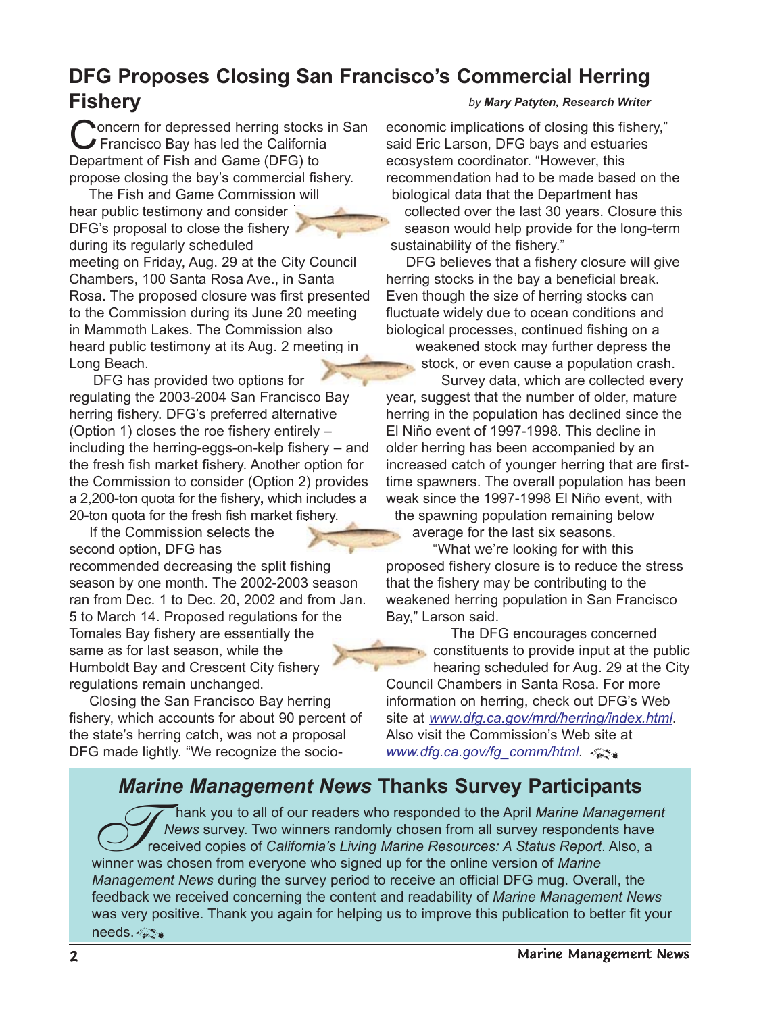#### <span id="page-1-0"></span>**DFG Proposes Closing San Francisco's Commercial Herring Fishery** *by Mary Patyten, Research Writer*

**Noncern for depressed herring stocks in San** Francisco Bay has led the California Department of Fish and Game (DFG) to propose closing the bay's commercial fishery.

The Fish and Game Commission will hear public testimony and consider DFG's proposal to close the fishery during its regularly scheduled meeting on Friday, Aug. 29 at the City Council Chambers, 100 Santa Rosa Ave., in Santa Rosa. The proposed closure was first presented to the Commission during its June 20 meeting in Mammoth Lakes. The Commission also heard public testimony at its Aug. 2 meeting in Long Beach.

 DFG has provided two options for regulating the 2003-2004 San Francisco Bay herring fishery. DFG's preferred alternative (Option 1) closes the roe fishery entirely – including the herring-eggs-on-kelp fishery – and the fresh fish market fishery. Another option for the Commission to consider (Option 2) provides a 2,200-ton quota for the fishery**,** which includes a 20-ton quota for the fresh fish market fishery.

 If the Commission selects the second option, DFG has recommended decreasing the split fishing season by one month. The 2002-2003 season ran from Dec. 1 to Dec. 20, 2002 and from Jan. 5 to March 14. Proposed regulations for the Tomales Bay fishery are essentially the same as for last season, while the Humboldt Bay and Crescent City fishery regulations remain unchanged.

 Closing the San Francisco Bay herring fishery, which accounts for about 90 percent of the state's herring catch, was not a proposal DFG made lightly. "We recognize the socioeconomic implications of closing this fishery," said Eric Larson, DFG bays and estuaries ecosystem coordinator. "However, this recommendation had to be made based on the biological data that the Department has collected over the last 30 years. Closure this season would help provide for the long-term sustainability of the fishery."

 DFG believes that a fishery closure will give herring stocks in the bay a beneficial break. Even though the size of herring stocks can fluctuate widely due to ocean conditions and biological processes, continued fishing on a

weakened stock may further depress the stock, or even cause a population crash.

 Survey data, which are collected every year, suggest that the number of older, mature herring in the population has declined since the El Niño event of 1997-1998. This decline in older herring has been accompanied by an increased catch of younger herring that are firsttime spawners. The overall population has been weak since the 1997-1998 El Niño event, with the spawning population remaining below average for the last six seasons.

 "What we're looking for with this proposed fishery closure is to reduce the stress that the fishery may be contributing to the weakened herring population in San Francisco Bay," Larson said.

 The DFG encourages concerned constituents to provide input at the public hearing scheduled for Aug. 29 at the City Council Chambers in Santa Rosa. For more information on herring, check out DFG's Web site at *[www.dfg.ca.gov/mrd/herring/index.html](http://www.dfg.ca.gov/mrd/herring/index.html)*. Also visit the Commission's Web site at *[www.dfg.ca.gov/fg\\_comm/html](http://www.dfg.ca.gov/fg_comm/2003mtgs.html)*.

## *Marine Management News* **Thanks Survey Participants**

Thank you to all of our readers who responded to the April *Marine Management*<br>The Wews survey. Two winners randomly chosen from all survey respondents have<br>received copies of *California's Living Marine Resources: A Statu News* survey. Two winners randomly chosen from all survey respondents have received copies of *California's Living Marine Resources: A Status Report*. Also, a winner was chosen from everyone who signed up for the online version of *Marine Management News* during the survey period to receive an official DFG mug. Overall, the feedback we received concerning the content and readability of *Marine Management News* was very positive. Thank you again for helping us to improve this publication to better fit your needs. <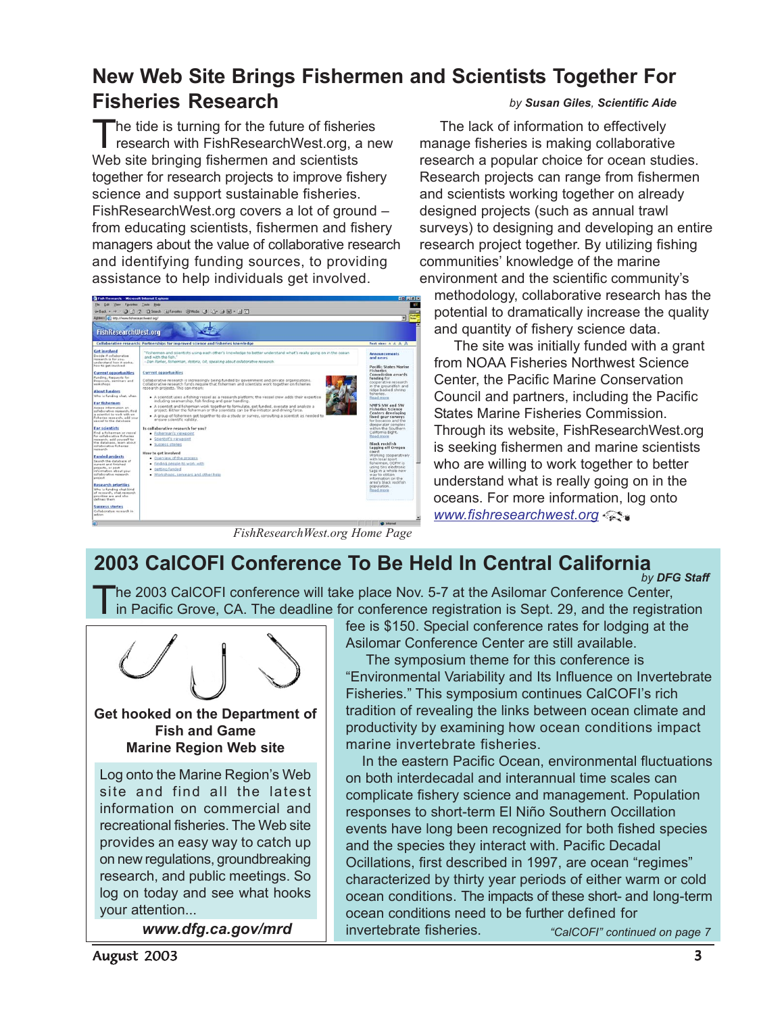#### <span id="page-2-0"></span>**New Web Site Brings Fishermen and Scientists Together For Fisheries Research** *by Susan Giles, Scientific Aide*

The tide is turning for the future of fisheries research with FishResearchWest.org, a new Web site bringing fishermen and scientists together for research projects to improve fishery science and support sustainable fisheries. FishResearchWest.org covers a lot of ground – from educating scientists, fishermen and fishery managers about the value of collaborative research and identifying funding sources, to providing assistance to help individuals get involved.



 The lack of information to effectively manage fisheries is making collaborative research a popular choice for ocean studies. Research projects can range from fishermen and scientists working together on already designed projects (such as annual trawl surveys) to designing and developing an entire research project together. By utilizing fishing communities' knowledge of the marine environment and the scientific community's

methodology, collaborative research has the potential to dramatically increase the quality and quantity of fishery science data.

 The site was initially funded with a grant from NOAA Fisheries Northwest Science Center, the Pacific Marine Conservation Council and partners, including the Pacific States Marine Fisheries Commission. Through its website, FishResearchWest.org is seeking fishermen and marine scientists who are willing to work together to better understand what is really going on in the oceans. For more information, log onto *[www.fishresearchwest.org](http://www.fishresearchwest.org)*

*FishResearchWest.org Home Page*

## **2003 CalCOFI Conference To Be Held In Central California**

*by DFG Staff*

The 2003 CalCOFI conference will take place Nov. 5-7 at the Asilomar Conference Center, in Pacific Grove, CA. The deadline for conference registration is Sept. 29, and the registration



*www.dfg.ca.gov/mrd*

fee is \$150. Special conference rates for lodging at the Asilomar Conference Center are still available.

 The symposium theme for this conference is "Environmental Variability and Its Influence on Invertebrate Fisheries." This symposium continues CalCOFI's rich tradition of revealing the links between ocean climate and productivity by examining how ocean conditions impact marine invertebrate fisheries.

 In the eastern Pacific Ocean, environmental fluctuations on both interdecadal and interannual time scales can complicate fishery science and management. Population responses to short-term El Niño Southern Occillation events have long been recognized for both fished species and the species they interact with. Pacific Decadal Ocillations, first described in 1997, are ocean "regimes" characterized by thirty year periods of either warm or cold ocean conditions. The impacts of these short- and long-term ocean conditions need to be further defined for invertebrate fisheries. *["CalCOFI" continued on page 7](#page-6-2)*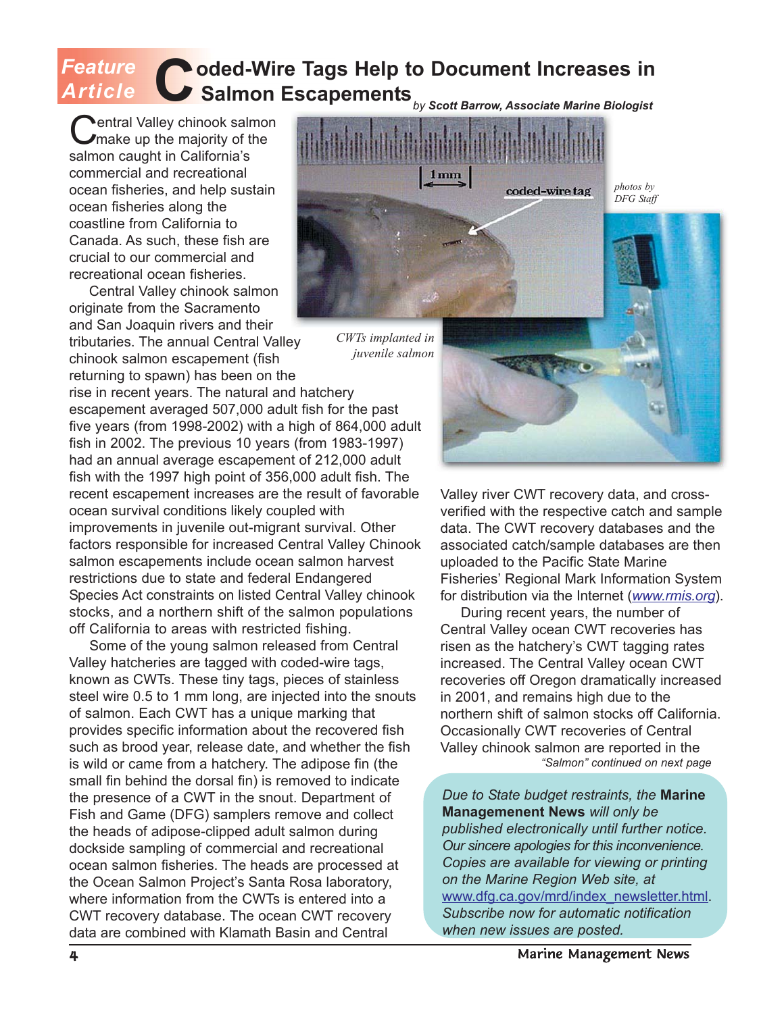### <span id="page-3-0"></span>**Coded-Wire Tags Help to Document Increases in Salmon Escapements** *by Scott Barrow, Associate Marine Biologist Feature* rticle

**Nentral Valley chinook salmon** make up the majority of the salmon caught in California's commercial and recreational ocean fisheries, and help sustain ocean fisheries along the coastline from California to Canada. As such, these fish are crucial to our commercial and recreational ocean fisheries.

 Central Valley chinook salmon originate from the Sacramento and San Joaquin rivers and their

tributaries. The annual Central Valley chinook salmon escapement (fish returning to spawn) has been on the

rise in recent years. The natural and hatchery escapement averaged 507,000 adult fish for the past five years (from 1998-2002) with a high of 864,000 adult fish in 2002. The previous 10 years (from 1983-1997) had an annual average escapement of 212,000 adult fish with the 1997 high point of 356,000 adult fish. The recent escapement increases are the result of favorable ocean survival conditions likely coupled with improvements in juvenile out-migrant survival. Other factors responsible for increased Central Valley Chinook salmon escapements include ocean salmon harvest restrictions due to state and federal Endangered Species Act constraints on listed Central Valley chinook stocks, and a northern shift of the salmon populations off California to areas with restricted fishing.

 Some of the young salmon released from Central Valley hatcheries are tagged with coded-wire tags, known as CWTs. These tiny tags, pieces of stainless steel wire 0.5 to 1 mm long, are injected into the snouts of salmon. Each CWT has a unique marking that provides specific information about the recovered fish such as brood year, release date, and whether the fish is wild or came from a hatchery. The adipose fin (the small fin behind the dorsal fin) is removed to indicate the presence of a CWT in the snout. Department of Fish and Game (DFG) samplers remove and collect the heads of adipose-clipped adult salmon during dockside sampling of commercial and recreational ocean salmon fisheries. The heads are processed at the Ocean Salmon Project's Santa Rosa laboratory, where information from the CWTs is entered into a CWT recovery database. The ocean CWT recovery data are combined with Klamath Basin and Central



*CWTs implanted in juvenile salmon*

Valley river CWT recovery data, and crossverified with the respective catch and sample data. The CWT recovery databases and the associated catch/sample databases are then uploaded to the Pacific State Marine Fisheries' Regional Mark Information System for distribution via the Internet (*[www.rmis.org](http://www.rmis.org)*).

 During recent years, the number of Central Valley ocean CWT recoveries has risen as the hatchery's CWT tagging rates increased. The Central Valley ocean CWT recoveries off Oregon dramatically increased in 2001, and remains high due to the northern shift of salmon stocks off California. Occasionally CWT recoveries of Central Valley chinook salmon are reported in the *["Salmon" continued on next page](#page-4-0)*

*Due to State budget restraints, the* **Marine Managemenent News** *will only be published electronically until further notice. Our sincere apologies for this inconvenience. Copies are available for viewing or printing on the Marine Region Web site, at* [www.dfg.ca.gov/mrd/index\\_newsletter.html.](http://www.dfg.ca.gov/mrd/index_newsletter.html) *Subscribe now for automatic notification when new issues are posted.*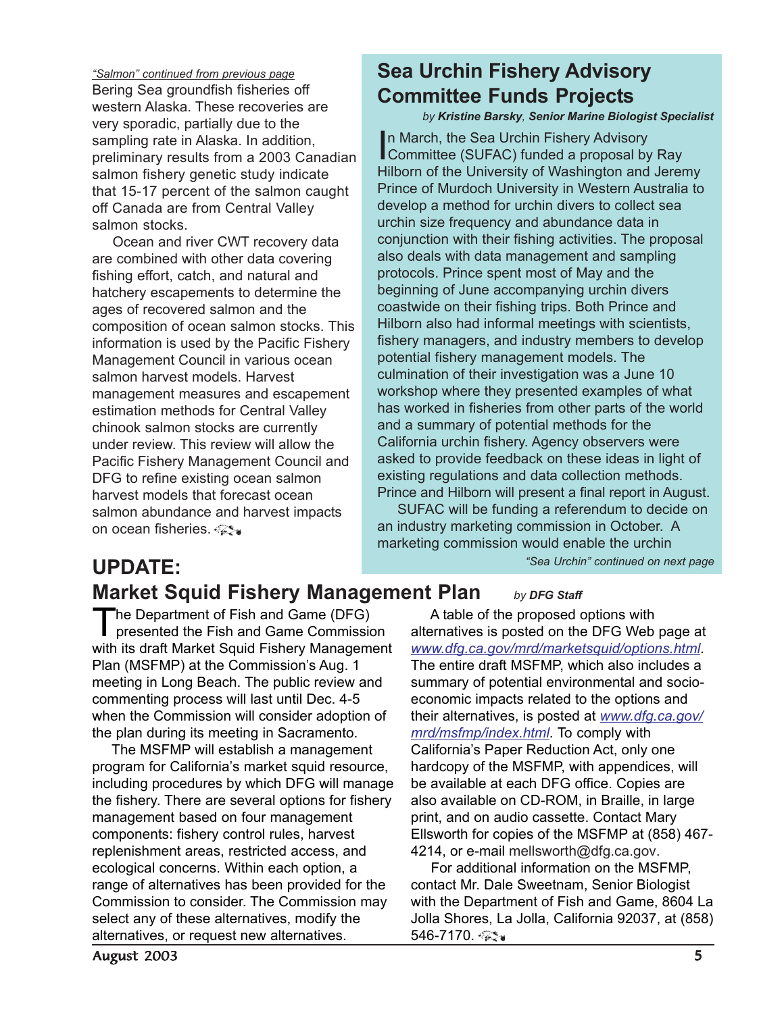<span id="page-4-0"></span>Bering Sea groundfish fisheries off western Alaska. These recoveries are very sporadic, partially due to the sampling rate in Alaska. In addition, preliminary results from a 2003 Canadian salmon fishery genetic study indicate that 15-17 percent of the salmon caught off Canada are from Central Valley salmon stocks. *"Salmon" continued from previous page*

 Ocean and river CWT recovery data are combined with other data covering fishing effort, catch, and natural and hatchery escapements to determine the ages of recovered salmon and the composition of ocean salmon stocks. This information is used by the Pacific Fishery Management Council in various ocean salmon harvest models. Harvest management measures and escapement estimation methods for Central Valley chinook salmon stocks are currently under review. This review will allow the Pacific Fishery Management Council and DFG to refine existing ocean salmon harvest models that forecast ocean salmon abundance and harvest impacts on ocean fisheries.

# **Sea Urchin Fishery Advisory Committee Funds Projects**

#### *by Kristine Barsky, Senior Marine Biologist Specialist*

In March, the Sea Urchin Fishery Advisory<br>Committee (SUFAC) funded a proposal by Ray n March, the Sea Urchin Fishery Advisory Hilborn of the University of Washington and Jeremy Prince of Murdoch University in Western Australia to develop a method for urchin divers to collect sea urchin size frequency and abundance data in conjunction with their fishing activities. The proposal also deals with data management and sampling protocols. Prince spent most of May and the beginning of June accompanying urchin divers coastwide on their fishing trips. Both Prince and Hilborn also had informal meetings with scientists, fishery managers, and industry members to develop potential fishery management models. The culmination of their investigation was a June 10 workshop where they presented examples of what has worked in fisheries from other parts of the world and a summary of potential methods for the California urchin fishery. Agency observers were asked to provide feedback on these ideas in light of existing regulations and data collection methods. Prince and Hilborn will present a final report in August.

 SUFAC will be funding a referendum to decide on an industry marketing commission in October. A marketing commission would enable the urchin *["Sea Urchin" continued on next page](#page-5-1)*

# <span id="page-4-1"></span>**UPDATE: Market Squid Fishery Management Plan** *by DFG Staff*

The Department of Fish and Game (DFG) presented the Fish and Game Commission with its draft Market Squid Fishery Management Plan (MSFMP) at the Commission's Aug. 1 meeting in Long Beach. The public review and commenting process will last until Dec. 4-5 when the Commission will consider adoption of the plan during its meeting in Sacramento.

 The MSFMP will establish a management program for California's market squid resource, including procedures by which DFG will manage the fishery. There are several options for fishery management based on four management components: fishery control rules, harvest replenishment areas, restricted access, and ecological concerns. Within each option, a range of alternatives has been provided for the Commission to consider. The Commission may select any of these alternatives, modify the alternatives, or request new alternatives.

 A table of the proposed options with alternatives is posted on the DFG Web page at *[www.dfg.ca.gov/mrd/marketsquid/options.html](http://www.dfg.ca.gov/mrd/marketsquid/options.html)*. The entire draft MSFMP, which also includes a summary of potential environmental and socioeconomic impacts related to the options and their alternatives, is posted at *[www.dfg.ca.gov/](http://www.dfg.ca.gov/mrd/msfmp/index.html) [mrd/msfmp/index.html](http://www.dfg.ca.gov/mrd/msfmp/index.html)*. To comply with California's Paper Reduction Act, only one hardcopy of the MSFMP, with appendices, will be available at each DFG office. Copies are also available on CD-ROM, in Braille, in large print, and on audio cassette. Contact Mary Ellsworth for copies of the MSFMP at (858) 467- 4214, or e-mail mellsworth@dfg.ca.gov.

 For additional information on the MSFMP, contact Mr. Dale Sweetnam, Senior Biologist with the Department of Fish and Game, 8604 La Jolla Shores, La Jolla, California 92037, at (858) 546-7170. ۞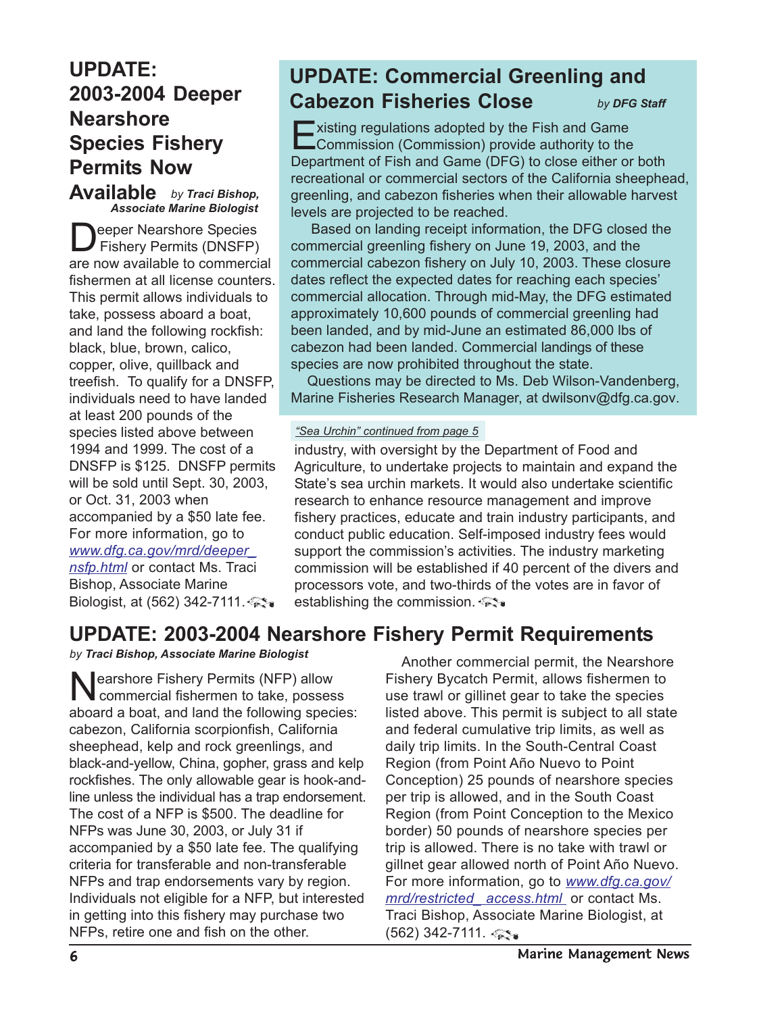## <span id="page-5-0"></span>**UPDATE: 2003-2004 Deeper Nearshore Species Fishery Permits Now**

**Available** *by Traci Bishop, Associate Marine Biologist*

<span id="page-5-1"></span>Deeper Nearshore Species Fishery Permits (DNSFP) are now available to commercial fishermen at all license counters. This permit allows individuals to take, possess aboard a boat, and land the following rockfish: black, blue, brown, calico, copper, olive, quillback and treefish. To qualify for a DNSFP, individuals need to have landed at least 200 pounds of the species listed above between 1994 and 1999. The cost of a DNSFP is \$125. DNSFP permits will be sold until Sept. 30, 2003, or Oct. 31, 2003 when accompanied by a \$50 late fee. For more information, go to *[www.dfg.ca.gov/mrd/deeper\\_](http://www.dfg.ca.gov/mrd/deeper_nsfp.html) nsfp.html* or contact Ms. Traci Bishop, Associate Marine Biologist, at (562) 342-7111.

## **UPDATE: Commercial Greenling and Cabezon Fisheries Close**

*by DFG Staff*

 $\blacksquare$  xisting regulations adopted by the Fish and Game Commission (Commission) provide authority to the Department of Fish and Game (DFG) to close either or both recreational or commercial sectors of the California sheephead, greenling, and cabezon fisheries when their allowable harvest levels are projected to be reached.

 Based on landing receipt information, the DFG closed the commercial greenling fishery on June 19, 2003, and the commercial cabezon fishery on July 10, 2003. These closure dates reflect the expected dates for reaching each species' commercial allocation. Through mid-May, the DFG estimated approximately 10,600 pounds of commercial greenling had been landed, and by mid-June an estimated 86,000 lbs of cabezon had been landed. Commercial landings of these species are now prohibited throughout the state.

 Questions may be directed to Ms. Deb Wilson-Vandenberg, Marine Fisheries Research Manager, at dwilsonv@dfg.ca.gov.

#### *"Sea Urchin" continued from page 5*

industry, with oversight by the Department of Food and Agriculture, to undertake projects to maintain and expand the State's sea urchin markets. It would also undertake scientific research to enhance resource management and improve fishery practices, educate and train industry participants, and conduct public education. Self-imposed industry fees would support the commission's activities. The industry marketing commission will be established if 40 percent of the divers and processors vote, and two-thirds of the votes are in favor of establishing the commission.

## **UPDATE: 2003-2004 Nearshore Fishery Permit Requirements**

*by Traci Bishop, Associate Marine Biologist*

Nearshore Fishery Permits (NFP) allow commercial fishermen to take, possess aboard a boat, and land the following species: cabezon, California scorpionfish, California sheephead, kelp and rock greenlings, and black-and-yellow, China, gopher, grass and kelp rockfishes. The only allowable gear is hook-andline unless the individual has a trap endorsement. The cost of a NFP is \$500. The deadline for NFPs was June 30, 2003, or July 31 if accompanied by a \$50 late fee. The qualifying criteria for transferable and non-transferable NFPs and trap endorsements vary by region. Individuals not eligible for a NFP, but interested in getting into this fishery may purchase two NFPs, retire one and fish on the other.

 Another commercial permit, the Nearshore Fishery Bycatch Permit, allows fishermen to use trawl or gillinet gear to take the species listed above. This permit is subject to all state and federal cumulative trip limits, as well as daily trip limits. In the South-Central Coast Region (from Point Año Nuevo to Point Conception) 25 pounds of nearshore species per trip is allowed, and in the South Coast Region (from Point Conception to the Mexico border) 50 pounds of nearshore species per trip is allowed. There is no take with trawl or gillnet gear allowed north of Point Año Nuevo. [For more information, go to](http://www.dfg.ca.gov/mrd/restricted_access.html) *www.dfg.ca.gov/ mrd/restricted\_ access.html* or contact Ms. Traci Bishop, Associate Marine Biologist, at (562) 342-7111.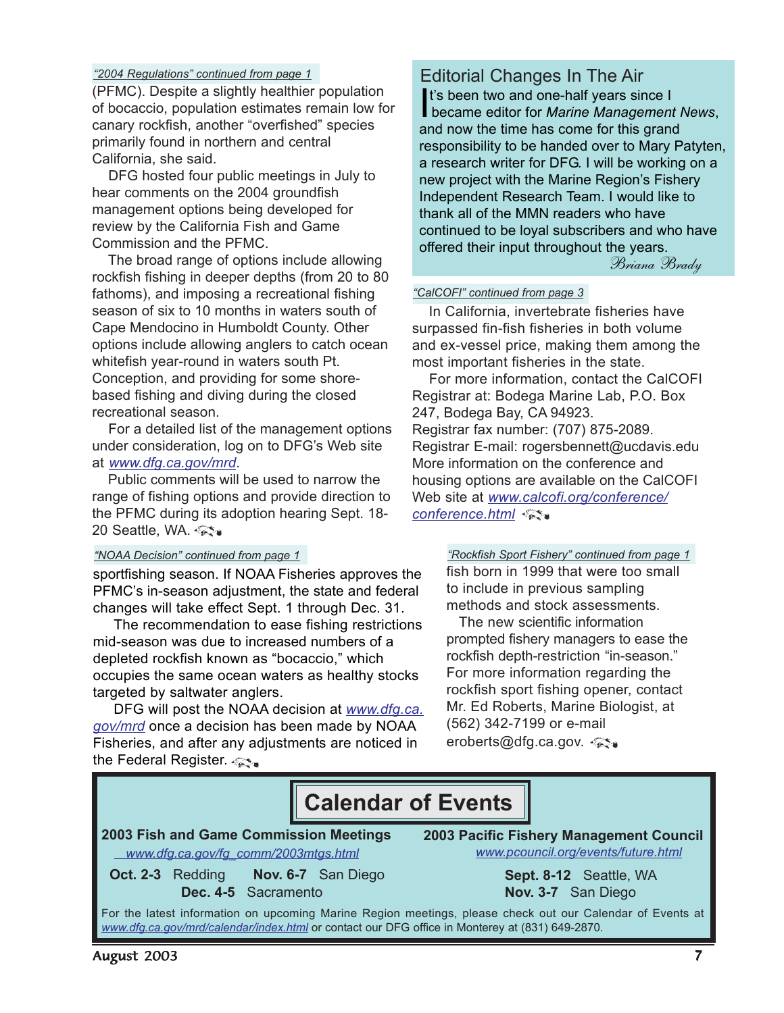#### <span id="page-6-1"></span>*"2004 Regulations" continued from page 1*

(PFMC). Despite a slightly healthier population of bocaccio, population estimates remain low for canary rockfish, another "overfished" species primarily found in northern and central California, she said.

 DFG hosted four public meetings in July to hear comments on the 2004 groundfish management options being developed for review by the California Fish and Game Commission and the PFMC.

<span id="page-6-2"></span> The broad range of options include allowing rockfish fishing in deeper depths (from 20 to 80 fathoms), and imposing a recreational fishing season of six to 10 months in waters south of Cape Mendocino in Humboldt County. Other options include allowing anglers to catch ocean whitefish year-round in waters south Pt. Conception, and providing for some shorebased fishing and diving during the closed recreational season.

 For a detailed list of the management options under consideration, log on to DFG's Web site at *[www.dfg.ca.gov/mrd](http://www.dfg.ca.gov/mrd)*.

<span id="page-6-0"></span> Public comments will be used to narrow the range of fishing options and provide direction to the PFMC during its adoption hearing Sept. 18- 20 Seattle, WA.

sportfishing season. If NOAA Fisheries approves the PFMC's in-season adjustment, the state and federal changes will take effect Sept. 1 through Dec. 31.

 The recommendation to ease fishing restrictions mid-season was due to increased numbers of a depleted rockfish known as "bocaccio," which occupies the same ocean waters as healthy stocks targeted by saltwater anglers.

 DFG will post the NOAA decision at *[www.dfg.ca.](http://www.dfg.ca.gov/mrd) [gov/mrd](http://www.dfg.ca.gov/mrd)* once a decision has been made by NOAA Fisheries, and after any adjustments are noticed in the Federal Register.

#### Editorial Changes In The Air

It's been two and one-half years since I<br>became editor for *Marine Management News*, It's been two and one-half years since I and now the time has come for this grand responsibility to be handed over to Mary Patyten, a research writer for DFG. I will be working on a new project with the Marine Region's Fishery Independent Research Team. I would like to thank all of the MMN readers who have continued to be loyal subscribers and who have offered their input throughout the years.

Briana Brady

#### *"CalCOFI" continued from page 3*

 In California, invertebrate fisheries have surpassed fin-fish fisheries in both volume and ex-vessel price, making them among the most important fisheries in the state.

 For more information, contact the CalCOFI Registrar at: Bodega Marine Lab, P.O. Box 247, Bodega Bay, CA 94923. Registrar fax number: (707) 875-2089. Registrar E-mail: rogersbennett@ucdavis.edu More information on the conference and housing options are available on the CalCOFI Web site at *[www.calcofi.org/conference/](http://www.calcofi.org/conference/conference.html) conference.html*

#### *"NOAA Decision" continued from page 1 "Rockfish Sport Fishery" continued from page 1*

fish born in 1999 that were too small to include in previous sampling methods and stock assessments.

 The new scientific information prompted fishery managers to ease the rockfish depth-restriction "in-season." For more information regarding the rockfish sport fishing opener, contact Mr. Ed Roberts, Marine Biologist, at (562) 342-7199 or e-mail eroberts@dfg.ca.gov.